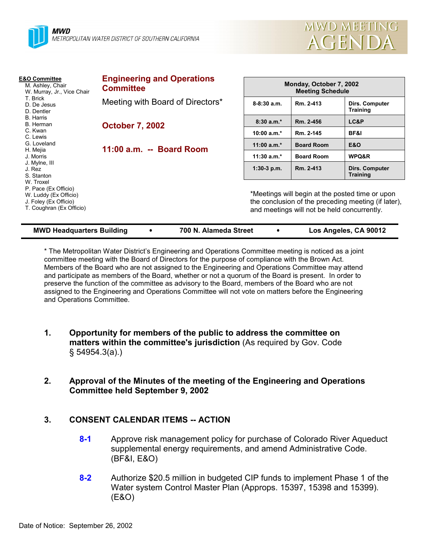



| <b>E&amp;O Committee</b><br>M. Ashley, Chair<br>W. Murray, Jr., Vice Chair<br>T. Brick<br>D. De Jesus<br>D. Dentler<br><b>B.</b> Harris<br>B. Herman<br>C. Kwan<br>C. Lewis<br>G. Loveland<br>H. Mejia<br>J. Morris<br>J. Mylne, III<br>J. Rez<br>S. Stanton<br>W. Troxel<br>P. Pace (Ex Officio)<br>W. Luddy (Ex Officio)<br>J. Foley (Ex Officio)<br>T. Coughran (Ex Officio) | <b>Engineering and Operations</b><br><b>Committee</b> |                                                                                                                                                       | Monday, October 7, 2002<br><b>Meeting Schedule</b> |                                   |  |
|---------------------------------------------------------------------------------------------------------------------------------------------------------------------------------------------------------------------------------------------------------------------------------------------------------------------------------------------------------------------------------|-------------------------------------------------------|-------------------------------------------------------------------------------------------------------------------------------------------------------|----------------------------------------------------|-----------------------------------|--|
|                                                                                                                                                                                                                                                                                                                                                                                 | Meeting with Board of Directors*                      | $8 - 8:30$ a.m.                                                                                                                                       | Rm. 2-413                                          | Dirs. Computer<br><b>Training</b> |  |
|                                                                                                                                                                                                                                                                                                                                                                                 | <b>October 7, 2002</b><br>11:00 a.m. -- Board Room    | $8:30a.m.*$                                                                                                                                           | Rm. 2-456                                          | LC&P                              |  |
|                                                                                                                                                                                                                                                                                                                                                                                 |                                                       | 10:00 $a.m.*$                                                                                                                                         | Rm. 2-145                                          | BF&I                              |  |
|                                                                                                                                                                                                                                                                                                                                                                                 |                                                       | 11:00 $a.m.*$                                                                                                                                         | <b>Board Room</b>                                  | <b>E&amp;O</b>                    |  |
|                                                                                                                                                                                                                                                                                                                                                                                 |                                                       | 11:30 $a.m.*$                                                                                                                                         | <b>Board Room</b>                                  | WPQ&R                             |  |
|                                                                                                                                                                                                                                                                                                                                                                                 |                                                       | $1:30-3$ p.m.                                                                                                                                         | Rm. 2-413                                          | Dirs. Computer<br><b>Training</b> |  |
|                                                                                                                                                                                                                                                                                                                                                                                 |                                                       | *Meetings will begin at the posted time or upon<br>the conclusion of the preceding meeting (if later),<br>and meetings will not be held concurrently. |                                                    |                                   |  |

**MWD Headquarters Building** ! **700 N. Alameda Street** ! **Los Angeles, CA 90012**

\* The Metropolitan Water Districtís Engineering and Operations Committee meeting is noticed as a joint committee meeting with the Board of Directors for the purpose of compliance with the Brown Act. Members of the Board who are not assigned to the Engineering and Operations Committee may attend and participate as members of the Board, whether or not a quorum of the Board is present. In order to preserve the function of the committee as advisory to the Board, members of the Board who are not assigned to the Engineering and Operations Committee will not vote on matters before the Engineering and Operations Committee.

- **1. Opportunity for members of the public to address the committee on matters within the committee's jurisdiction** (As required by Gov. Code ß 54954.3(a).)
- **2. Approval of the Minutes of the meeting of the Engineering and Operations Committee held September 9, 2002**

# **3. CONSENT CALENDAR ITEMS -- ACTION**

- **8-1** Approve risk management policy for purchase of Colorado River Aqueduct supplemental energy requirements, and amend Administrative Code. (BF&I, E&O)
- **8-2** Authorize \$20.5 million in budgeted CIP funds to implement Phase 1 of the Water system Control Master Plan (Approps. 15397, 15398 and 15399). (E&O)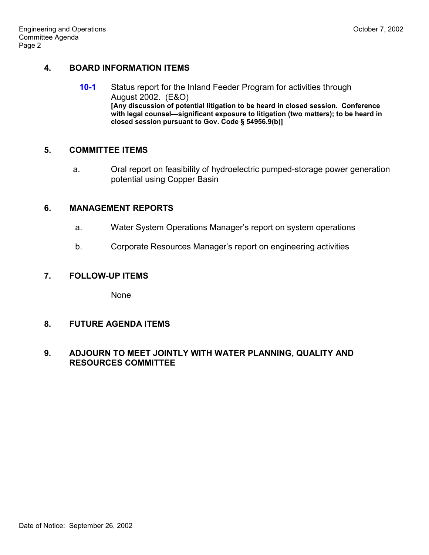## **4. BOARD INFORMATION ITEMS**

**10-1** Status report for the Inland Feeder Program for activities through August 2002. (E&O) **[Any discussion of potential litigation to be heard in closed session. Conference** with legal counsel-significant exposure to litigation (two matters); to be heard in **closed session pursuant to Gov. Code ß 54956.9(b)]**

#### **5. COMMITTEE ITEMS**

a. Oral report on feasibility of hydroelectric pumped-storage power generation potential using Copper Basin

#### **6. MANAGEMENT REPORTS**

- a. Water System Operations Managerís report on system operations
- b. Corporate Resources Manager's report on engineering activities

#### **7. FOLLOW-UP ITEMS**

None

### **8. FUTURE AGENDA ITEMS**

### **9. ADJOURN TO MEET JOINTLY WITH WATER PLANNING, QUALITY AND RESOURCES COMMITTEE**